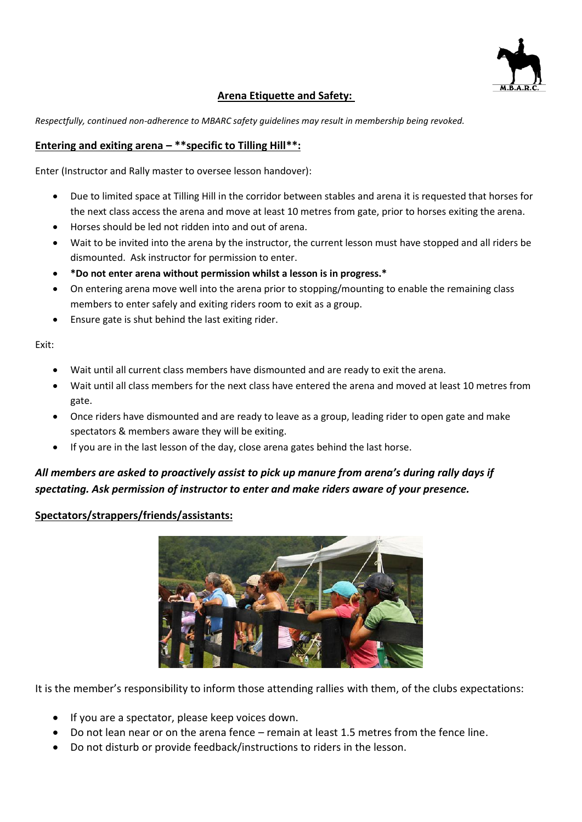

### **Arena Etiquette and Safety:**

*Respectfully, continued non-adherence to MBARC safety guidelines may result in membership being revoked.*

### **Entering and exiting arena – \*\*specific to Tilling Hill\*\*:**

Enter (Instructor and Rally master to oversee lesson handover):

- Due to limited space at Tilling Hill in the corridor between stables and arena it is requested that horses for the next class access the arena and move at least 10 metres from gate, prior to horses exiting the arena.
- Horses should be led not ridden into and out of arena.
- Wait to be invited into the arena by the instructor, the current lesson must have stopped and all riders be dismounted. Ask instructor for permission to enter.
- **\*Do not enter arena without permission whilst a lesson is in progress.\***
- On entering arena move well into the arena prior to stopping/mounting to enable the remaining class members to enter safely and exiting riders room to exit as a group.
- Ensure gate is shut behind the last exiting rider.

Exit:

- Wait until all current class members have dismounted and are ready to exit the arena.
- Wait until all class members for the next class have entered the arena and moved at least 10 metres from gate.
- Once riders have dismounted and are ready to leave as a group, leading rider to open gate and make spectators & members aware they will be exiting.
- If you are in the last lesson of the day, close arena gates behind the last horse.

# *All members are asked to proactively assist to pick up manure from arena's during rally days if spectating. Ask permission of instructor to enter and make riders aware of your presence.*

#### **Spectators/strappers/friends/assistants:**



It is the member's responsibility to inform those attending rallies with them, of the clubs expectations:

- If you are a spectator, please keep voices down.
- Do not lean near or on the arena fence remain at least 1.5 metres from the fence line.
- Do not disturb or provide feedback/instructions to riders in the lesson.